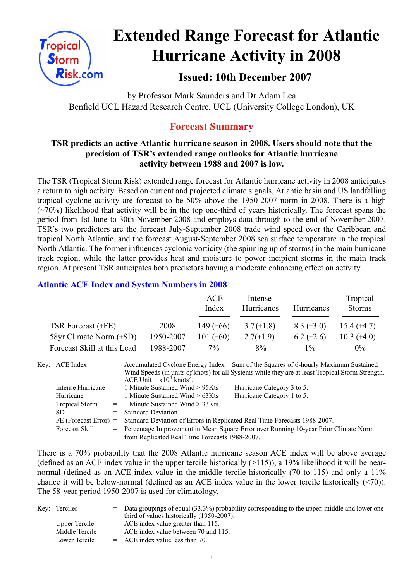

# **Extended Range Forecast for Atlantic Hurricane Activity in 2008**

# **Issued: 10th December 2007**

by Professor Mark Saunders and Dr Adam Lea Benfield UCL Hazard Research Centre, UCL (University College London), UK

# **Forecast Summary**

# **TSR predicts an active Atlantic hurricane season in 2008. Users should note that the precision of TSR's extended range outlooks for Atlantic hurricane activity between 1988 and 2007 is low.**

The TSR (Tropical Storm Risk) extended range forecast for Atlantic hurricane activity in 2008 anticipates a return to high activity. Based on current and projected climate signals, Atlantic basin and US landfalling tropical cyclone activity are forecast to be 50% above the 1950-2007 norm in 2008. There is a high  $(\sim 70\%)$  likelihood that activity will be in the top one-third of years historically. The forecast spans the period from 1st June to 30th November 2008 and employs data through to the end of November 2007. TSR's two predictors are the forecast July-September 2008 trade wind speed over the Caribbean and tropical North Atlantic, and the forecast August-September 2008 sea surface temperature in the tropical North Atlantic. The former influences cyclonic vorticity (the spinning up of storms) in the main hurricane track region, while the latter provides heat and moisture to power incipient storms in the main track region. At present TSR anticipates both predictors having a moderate enhancing effect on activity.

# **Atlantic ACE Index and System Numbers in 2008**

|                              |           | ACE<br>Index   | Intense<br>Hurricanes | Hurricanes        | Tropical<br><b>Storms</b> |
|------------------------------|-----------|----------------|-----------------------|-------------------|---------------------------|
| TSR Forecast $(\pm FE)$      | 2008      | 149 $(\pm 66)$ | $3.7(\pm 1.8)$        | $8.3 \ (\pm 3.0)$ | 15.4 $(\pm 4.7)$          |
| 58yr Climate Norm $(\pm SD)$ | 1950-2007 | 101 $(\pm 60)$ | $2.7(\pm 1.9)$        | $6.2 \ (\pm 2.6)$ | 10.3 $(\pm 4.0)$          |
| Forecast Skill at this Lead  | 1988-2007 | $7\%$          | $8\%$                 | $1\%$             | $0\%$                     |

| Key: ACE Index          | $=$ Accumulated Cyclone Energy Index = Sum of the Squares of 6-hourly Maximum Sustained<br>Wind Speeds (in units of knots) for all Systems while they are at least Tropical Storm Strength.<br>ACE Unit = $x10^4$ knots <sup>2</sup> . |
|-------------------------|----------------------------------------------------------------------------------------------------------------------------------------------------------------------------------------------------------------------------------------|
| Intense Hurricane       | $=$ 1 Minute Sustained Wind > 95Kts $=$ Hurricane Category 3 to 5.                                                                                                                                                                     |
| Hurricane               | $=$ 1 Minute Sustained Wind > 63Kts $=$ Hurricane Category 1 to 5.                                                                                                                                                                     |
| <b>Tropical Storm</b>   | $=$ 1 Minute Sustained Wind $>$ 33Kts.                                                                                                                                                                                                 |
| SD.                     | $=$ Standard Deviation.                                                                                                                                                                                                                |
| $FE$ (Forecast Error) = | Standard Deviation of Errors in Replicated Real Time Forecasts 1988-2007.                                                                                                                                                              |
| <b>Forecast Skill</b>   | = Percentage Improvement in Mean Square Error over Running 10-year Prior Climate Norm                                                                                                                                                  |
|                         | from Replicated Real Time Forecasts 1988-2007.                                                                                                                                                                                         |

There is a 70% probability that the 2008 Atlantic hurricane season ACE index will be above average (defined as an ACE index value in the upper tercile historically  $(>115)$ ), a 19% likelihood it will be nearnormal (defined as an ACE index value in the middle tercile historically (70 to 115) and only a 11% chance it will be below-normal (defined as an ACE index value in the lower tercile historically (<70)). The 58-year period 1950-2007 is used for climatology.

| Key: Terciles  | $=$ Data groupings of equal (33.3%) probability corresponding to the upper, middle and lower one-<br>third of values historically (1950-2007). |
|----------------|------------------------------------------------------------------------------------------------------------------------------------------------|
| Upper Tercile  | $=$ ACE index value greater than 115.                                                                                                          |
| Middle Tercile | $=$ ACE index value between 70 and 115.                                                                                                        |
| Lower Tercile  | $=$ ACE index value less than 70.                                                                                                              |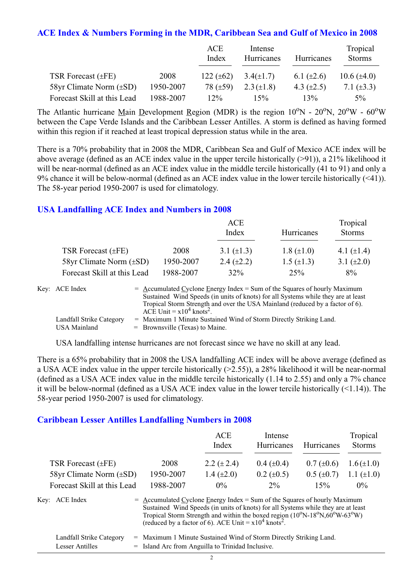#### **ACE Index & Numbers Forming in the MDR, Caribbean Sea and Gulf of Mexico in 2008**

|                              |           | ACE<br>Index   | Intense<br>Hurricanes | Hurricanes      | Tropical<br><b>Storms</b> |
|------------------------------|-----------|----------------|-----------------------|-----------------|---------------------------|
| TSR Forecast $(\pm FE)$      | 2008      | 122 $(\pm 62)$ | $3.4(\pm 1.7)$        | 6.1 $(\pm 2.6)$ | 10.6 $(\pm 4.0)$          |
| 58yr Climate Norm $(\pm SD)$ | 1950-2007 | 78 $(\pm 59)$  | $2.3 (\pm 1.8)$       | 4.3 $(\pm 2.5)$ | 7.1 $(\pm 3.3)$           |
| Forecast Skill at this Lead  | 1988-2007 | $12\%$         | 15%                   | 13%             | $5\%$                     |

The Atlantic hurricane Main Development Region (MDR) is the region  $10^{\circ}$ N -  $20^{\circ}$ N,  $20^{\circ}$ W -  $60^{\circ}$ W between the Cape Verde Islands and the Caribbean Lesser Antilles. A storm is defined as having formed within this region if it reached at least tropical depression status while in the area.

There is a 70% probability that in 2008 the MDR, Caribbean Sea and Gulf of Mexico ACE index will be above average (defined as an ACE index value in the upper tercile historically (>91)), a 21% likelihood it will be near-normal (defined as an ACE index value in the middle tercile historically (41 to 91) and only a 9% chance it will be below-normal (defined as an ACE index value in the lower tercile historically (<41)). The 58-year period 1950-2007 is used for climatology.

#### **USA Landfalling ACE Index and Numbers in 2008**

|                              |           | ACE<br>Index    | Hurricanes        | Tropical<br><b>Storms</b> |
|------------------------------|-----------|-----------------|-------------------|---------------------------|
| TSR Forecast $(\pm FE)$      | 2008      | 3.1 $(\pm 1.3)$ | $1.8 (\pm 1.0)$   | 4.1 $(\pm 1.4)$           |
| 58yr Climate Norm $(\pm SD)$ | 1950-2007 | 2.4 $(\pm 2.2)$ | $1.5 \ (\pm 1.3)$ | 3.1 $(\pm 2.0)$           |
| Forecast Skill at this Lead  | 1988-2007 | 32%             | 25%               | 8%                        |

| Key: ACE Index           | $=$ Accumulated Cyclone Energy Index $=$ Sum of the Squares of hourly Maximum     |
|--------------------------|-----------------------------------------------------------------------------------|
|                          | Sustained Wind Speeds (in units of knots) for all Systems while they are at least |
|                          | Tropical Storm Strength and over the USA Mainland (reduced by a factor of 6).     |
|                          | ACE Unit = $x10^4$ knots <sup>2</sup> .                                           |
| Landfall Strike Category | = Maximum 1 Minute Sustained Wind of Storm Directly Striking Land.                |
| USA Mainland             | $=$ Brownsville (Texas) to Maine.                                                 |

USA landfalling intense hurricanes are not forecast since we have no skill at any lead.

There is a 65% probability that in 2008 the USA landfalling ACE index will be above average (defined as a USA ACE index value in the upper tercile historically (>2.55)), a 28% likelihood it will be near-normal (defined as a USA ACE index value in the middle tercile historically (1.14 to 2.55) and only a 7% chance it will be below-normal (defined as a USA ACE index value in the lower tercile historically (<1.14)). The 58-year period 1950-2007 is used for climatology.

# **Caribbean Lesser Antilles Landfalling Numbers in 2008**

|                              |                                                                                     | ACE<br>Index                                                                                                                                                                                                                          | Intense<br>Hurricanes | Hurricanes        | Tropical<br><b>Storms</b> |
|------------------------------|-------------------------------------------------------------------------------------|---------------------------------------------------------------------------------------------------------------------------------------------------------------------------------------------------------------------------------------|-----------------------|-------------------|---------------------------|
| TSR Forecast $(\pm FE)$      | 2008                                                                                | 2.2 $(\pm 2.4)$                                                                                                                                                                                                                       | $0.4~(\pm 0.4)$       | $0.7 (\pm 0.6)$   | $1.6 (\pm 1.0)$           |
| 58yr Climate Norm $(\pm SD)$ | 1950-2007                                                                           | 1.4 $(\pm 2.0)$                                                                                                                                                                                                                       | $0.2 \ (\pm 0.5)$     | $0.5 \ (\pm 0.7)$ | 1.1 $(\pm 1.0)$           |
| Forecast Skill at this Lead  | 1988-2007                                                                           | $0\%$                                                                                                                                                                                                                                 | $2\%$                 | 15%               | $0\%$                     |
| Key: ACE Index               | $=$ $\Delta$ ccumulated Cyclone Energy Index = Sum of the Squares of hourly Maximum | Sustained Wind Speeds (in units of knots) for all Systems while they are at least<br>Tropical Storm Strength and within the boxed region (10°N-18°N,60°W-63°W)<br>(reduced by a factor of 6). ACE Unit = $x10^4$ knots <sup>2</sup> . |                       |                   |                           |

| Landfall Strike Category | = Maximum 1 Minute Sustained Wind of Storm Directly Striking Land. |
|--------------------------|--------------------------------------------------------------------|
| Lesser Antilles          | = Island Arc from Anguilla to Trinidad Inclusive.                  |